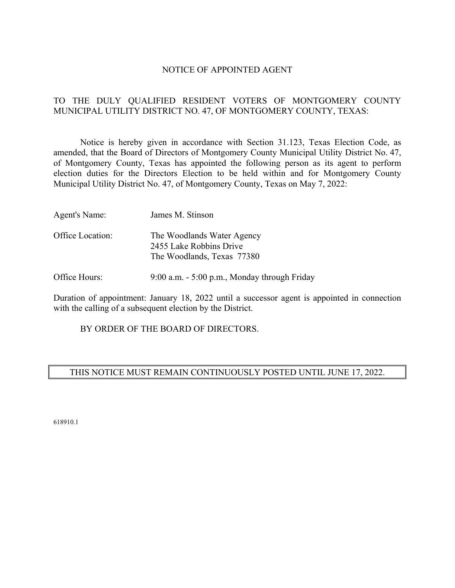#### NOTICE OF APPOINTED AGENT

# TO THE DULY QUALIFIED RESIDENT VOTERS OF MONTGOMERY COUNTY MUNICIPAL UTILITY DISTRICT NO. 47, OF MONTGOMERY COUNTY, TEXAS:

 Notice is hereby given in accordance with Section 31.123, Texas Election Code, as amended, that the Board of Directors of Montgomery County Municipal Utility District No. 47, of Montgomery County, Texas has appointed the following person as its agent to perform election duties for the Directors Election to be held within and for Montgomery County Municipal Utility District No. 47, of Montgomery County, Texas on May 7, 2022:

| Agent's Name:    | James M. Stinson                                                                    |
|------------------|-------------------------------------------------------------------------------------|
| Office Location: | The Woodlands Water Agency<br>2455 Lake Robbins Drive<br>The Woodlands, Texas 77380 |

Office Hours: 9:00 a.m. - 5:00 p.m., Monday through Friday

Duration of appointment: January 18, 2022 until a successor agent is appointed in connection with the calling of a subsequent election by the District.

BY ORDER OF THE BOARD OF DIRECTORS.

# THIS NOTICE MUST REMAIN CONTINUOUSLY POSTED UNTIL JUNE 17, 2022.

618910.1